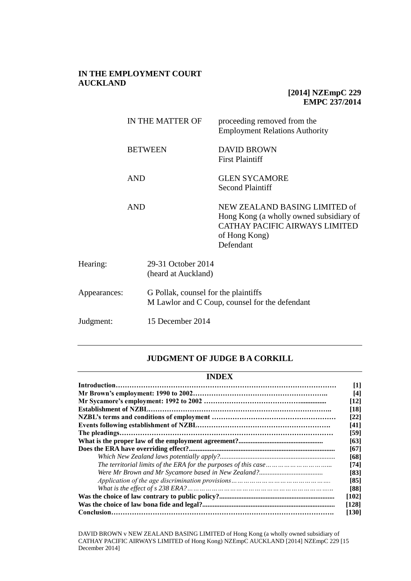# **IN THE EMPLOYMENT COURT AUCKLAND**

# **[2014] NZEmpC 229 EMPC 237/2014**

|              | IN THE MATTER OF                     |                                           | proceeding removed from the<br><b>Employment Relations Authority</b>                                                                     |
|--------------|--------------------------------------|-------------------------------------------|------------------------------------------------------------------------------------------------------------------------------------------|
|              |                                      | <b>BETWEEN</b>                            | <b>DAVID BROWN</b><br><b>First Plaintiff</b>                                                                                             |
| <b>AND</b>   |                                      |                                           | <b>GLEN SYCAMORE</b><br><b>Second Plaintiff</b>                                                                                          |
|              | <b>AND</b>                           |                                           | NEW ZEALAND BASING LIMITED of<br>Hong Kong (a wholly owned subsidiary of<br>CATHAY PACIFIC AIRWAYS LIMITED<br>of Hong Kong)<br>Defendant |
| Hearing:     |                                      | 29-31 October 2014<br>(heard at Auckland) |                                                                                                                                          |
| Appearances: | G Pollak, counsel for the plaintiffs |                                           | M Lawlor and C Coup, counsel for the defendant                                                                                           |
| Judgment:    |                                      | 15 December 2014                          |                                                                                                                                          |

### **JUDGMENT OF JUDGE B A CORKILL**

## **INDEX**

|  | [1]   |  |  |
|--|-------|--|--|
|  | [4]   |  |  |
|  |       |  |  |
|  | [18]  |  |  |
|  | [22]  |  |  |
|  | [41]  |  |  |
|  | [59]  |  |  |
|  | [63]  |  |  |
|  | [67]  |  |  |
|  | [68]  |  |  |
|  | [74]  |  |  |
|  | [83]  |  |  |
|  | [85]  |  |  |
|  | [88]  |  |  |
|  | [102] |  |  |
|  | [128] |  |  |
|  | [130] |  |  |

DAVID BROWN v NEW ZEALAND BASING LIMITED of Hong Kong (a wholly owned subsidiary of CATHAY PACIFIC AIRWAYS LIMITED of Hong Kong) NZEmpC AUCKLAND [2014] NZEmpC 229 [15 December 2014]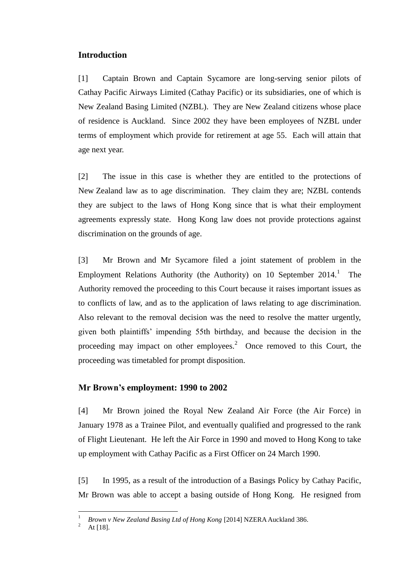## **Introduction**

[1] Captain Brown and Captain Sycamore are long-serving senior pilots of Cathay Pacific Airways Limited (Cathay Pacific) or its subsidiaries, one of which is New Zealand Basing Limited (NZBL). They are New Zealand citizens whose place of residence is Auckland. Since 2002 they have been employees of NZBL under terms of employment which provide for retirement at age 55. Each will attain that age next year.

[2] The issue in this case is whether they are entitled to the protections of New Zealand law as to age discrimination. They claim they are; NZBL contends they are subject to the laws of Hong Kong since that is what their employment agreements expressly state. Hong Kong law does not provide protections against discrimination on the grounds of age.

[3] Mr Brown and Mr Sycamore filed a joint statement of problem in the Employment Relations Authority (the Authority) on 10 September  $2014$ .<sup>1</sup> The Authority removed the proceeding to this Court because it raises important issues as to conflicts of law, and as to the application of laws relating to age discrimination. Also relevant to the removal decision was the need to resolve the matter urgently, given both plaintiffs' impending 55th birthday, and because the decision in the proceeding may impact on other employees.<sup>2</sup> Once removed to this Court, the proceeding was timetabled for prompt disposition.

### **Mr Brown's employment: 1990 to 2002**

[4] Mr Brown joined the Royal New Zealand Air Force (the Air Force) in January 1978 as a Trainee Pilot, and eventually qualified and progressed to the rank of Flight Lieutenant. He left the Air Force in 1990 and moved to Hong Kong to take up employment with Cathay Pacific as a First Officer on 24 March 1990.

[5] In 1995, as a result of the introduction of a Basings Policy by Cathay Pacific, Mr Brown was able to accept a basing outside of Hong Kong. He resigned from

<sup>1</sup> *Brown v New Zealand Basing Ltd of Hong Kong* [2014] NZERA Auckland 386.

At [18].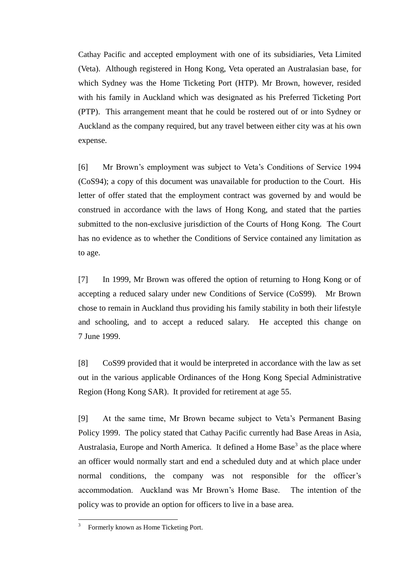Cathay Pacific and accepted employment with one of its subsidiaries, Veta Limited (Veta). Although registered in Hong Kong, Veta operated an Australasian base, for which Sydney was the Home Ticketing Port (HTP). Mr Brown, however, resided with his family in Auckland which was designated as his Preferred Ticketing Port (PTP). This arrangement meant that he could be rostered out of or into Sydney or Auckland as the company required, but any travel between either city was at his own expense.

[6] Mr Brown's employment was subject to Veta's Conditions of Service 1994 (CoS94); a copy of this document was unavailable for production to the Court. His letter of offer stated that the employment contract was governed by and would be construed in accordance with the laws of Hong Kong, and stated that the parties submitted to the non-exclusive jurisdiction of the Courts of Hong Kong. The Court has no evidence as to whether the Conditions of Service contained any limitation as to age.

[7] In 1999, Mr Brown was offered the option of returning to Hong Kong or of accepting a reduced salary under new Conditions of Service (CoS99). Mr Brown chose to remain in Auckland thus providing his family stability in both their lifestyle and schooling, and to accept a reduced salary. He accepted this change on 7 June 1999.

[8] CoS99 provided that it would be interpreted in accordance with the law as set out in the various applicable Ordinances of the Hong Kong Special Administrative Region (Hong Kong SAR). It provided for retirement at age 55.

[9] At the same time, Mr Brown became subject to Veta's Permanent Basing Policy 1999. The policy stated that Cathay Pacific currently had Base Areas in Asia, Australasia, Europe and North America. It defined a Home Base<sup>3</sup> as the place where an officer would normally start and end a scheduled duty and at which place under normal conditions, the company was not responsible for the officer's accommodation. Auckland was Mr Brown's Home Base. The intention of the policy was to provide an option for officers to live in a base area.

 $\frac{1}{3}$ Formerly known as Home Ticketing Port.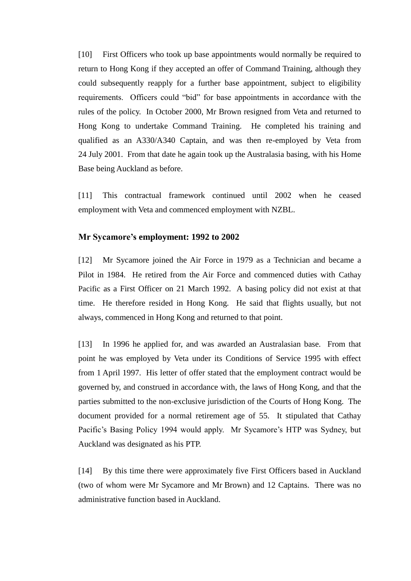[10] First Officers who took up base appointments would normally be required to return to Hong Kong if they accepted an offer of Command Training, although they could subsequently reapply for a further base appointment, subject to eligibility requirements. Officers could "bid" for base appointments in accordance with the rules of the policy. In October 2000, Mr Brown resigned from Veta and returned to Hong Kong to undertake Command Training. He completed his training and qualified as an A330/A340 Captain, and was then re-employed by Veta from 24 July 2001. From that date he again took up the Australasia basing, with his Home Base being Auckland as before.

[11] This contractual framework continued until 2002 when he ceased employment with Veta and commenced employment with NZBL.

#### **Mr Sycamore's employment: 1992 to 2002**

[12] Mr Sycamore joined the Air Force in 1979 as a Technician and became a Pilot in 1984. He retired from the Air Force and commenced duties with Cathay Pacific as a First Officer on 21 March 1992. A basing policy did not exist at that time. He therefore resided in Hong Kong. He said that flights usually, but not always, commenced in Hong Kong and returned to that point.

[13] In 1996 he applied for, and was awarded an Australasian base. From that point he was employed by Veta under its Conditions of Service 1995 with effect from 1 April 1997. His letter of offer stated that the employment contract would be governed by, and construed in accordance with, the laws of Hong Kong, and that the parties submitted to the non-exclusive jurisdiction of the Courts of Hong Kong. The document provided for a normal retirement age of 55. It stipulated that Cathay Pacific's Basing Policy 1994 would apply. Mr Sycamore's HTP was Sydney, but Auckland was designated as his PTP.

[14] By this time there were approximately five First Officers based in Auckland (two of whom were Mr Sycamore and Mr Brown) and 12 Captains. There was no administrative function based in Auckland.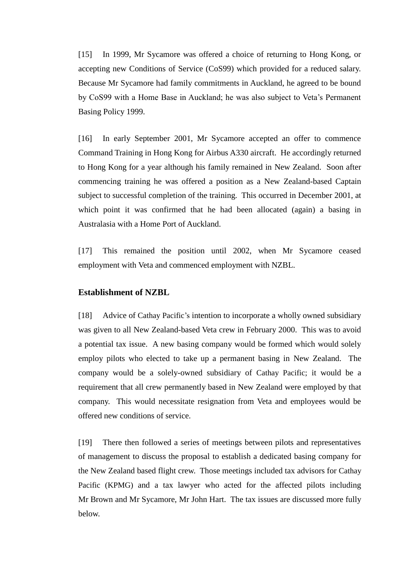[15] In 1999, Mr Sycamore was offered a choice of returning to Hong Kong, or accepting new Conditions of Service (CoS99) which provided for a reduced salary. Because Mr Sycamore had family commitments in Auckland, he agreed to be bound by CoS99 with a Home Base in Auckland; he was also subject to Veta's Permanent Basing Policy 1999.

[16] In early September 2001, Mr Sycamore accepted an offer to commence Command Training in Hong Kong for Airbus A330 aircraft. He accordingly returned to Hong Kong for a year although his family remained in New Zealand. Soon after commencing training he was offered a position as a New Zealand-based Captain subject to successful completion of the training. This occurred in December 2001, at which point it was confirmed that he had been allocated (again) a basing in Australasia with a Home Port of Auckland.

[17] This remained the position until 2002, when Mr Sycamore ceased employment with Veta and commenced employment with NZBL.

## **Establishment of NZBL**

[18] Advice of Cathay Pacific's intention to incorporate a wholly owned subsidiary was given to all New Zealand-based Veta crew in February 2000. This was to avoid a potential tax issue. A new basing company would be formed which would solely employ pilots who elected to take up a permanent basing in New Zealand. The company would be a solely-owned subsidiary of Cathay Pacific; it would be a requirement that all crew permanently based in New Zealand were employed by that company. This would necessitate resignation from Veta and employees would be offered new conditions of service.

[19] There then followed a series of meetings between pilots and representatives of management to discuss the proposal to establish a dedicated basing company for the New Zealand based flight crew. Those meetings included tax advisors for Cathay Pacific (KPMG) and a tax lawyer who acted for the affected pilots including Mr Brown and Mr Sycamore, Mr John Hart. The tax issues are discussed more fully below.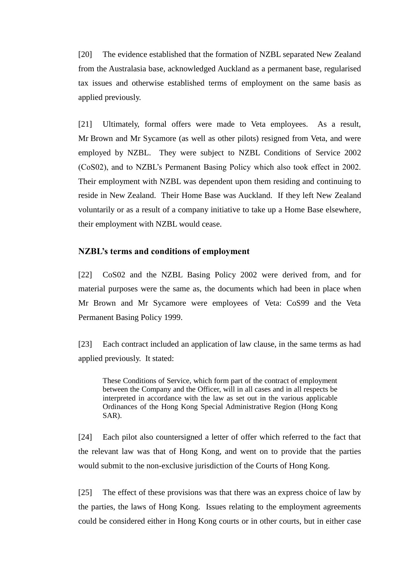[20] The evidence established that the formation of NZBL separated New Zealand from the Australasia base, acknowledged Auckland as a permanent base, regularised tax issues and otherwise established terms of employment on the same basis as applied previously.

[21] Ultimately, formal offers were made to Veta employees. As a result, Mr Brown and Mr Sycamore (as well as other pilots) resigned from Veta, and were employed by NZBL. They were subject to NZBL Conditions of Service 2002 (CoS02), and to NZBL's Permanent Basing Policy which also took effect in 2002. Their employment with NZBL was dependent upon them residing and continuing to reside in New Zealand. Their Home Base was Auckland. If they left New Zealand voluntarily or as a result of a company initiative to take up a Home Base elsewhere, their employment with NZBL would cease.

### **NZBL's terms and conditions of employment**

[22] CoS02 and the NZBL Basing Policy 2002 were derived from, and for material purposes were the same as, the documents which had been in place when Mr Brown and Mr Sycamore were employees of Veta: CoS99 and the Veta Permanent Basing Policy 1999.

[23] Each contract included an application of law clause, in the same terms as had applied previously. It stated:

These Conditions of Service, which form part of the contract of employment between the Company and the Officer, will in all cases and in all respects be interpreted in accordance with the law as set out in the various applicable Ordinances of the Hong Kong Special Administrative Region (Hong Kong SAR).

[24] Each pilot also countersigned a letter of offer which referred to the fact that the relevant law was that of Hong Kong, and went on to provide that the parties would submit to the non-exclusive jurisdiction of the Courts of Hong Kong.

[25] The effect of these provisions was that there was an express choice of law by the parties, the laws of Hong Kong. Issues relating to the employment agreements could be considered either in Hong Kong courts or in other courts, but in either case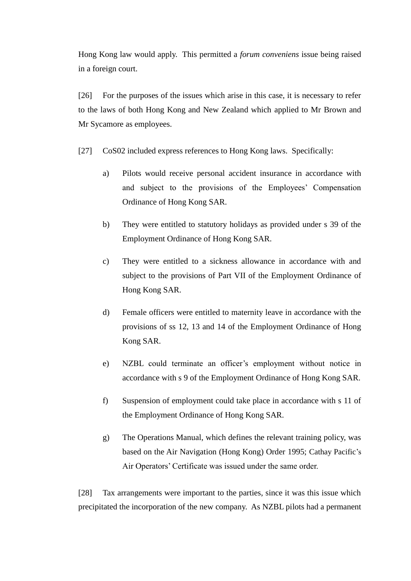Hong Kong law would apply. This permitted a *forum conveniens* issue being raised in a foreign court.

[26] For the purposes of the issues which arise in this case, it is necessary to refer to the laws of both Hong Kong and New Zealand which applied to Mr Brown and Mr Sycamore as employees.

- [27] CoS02 included express references to Hong Kong laws. Specifically:
	- a) Pilots would receive personal accident insurance in accordance with and subject to the provisions of the Employees' Compensation Ordinance of Hong Kong SAR.
	- b) They were entitled to statutory holidays as provided under s 39 of the Employment Ordinance of Hong Kong SAR.
	- c) They were entitled to a sickness allowance in accordance with and subject to the provisions of Part VII of the Employment Ordinance of Hong Kong SAR.
	- d) Female officers were entitled to maternity leave in accordance with the provisions of ss 12, 13 and 14 of the Employment Ordinance of Hong Kong SAR.
	- e) NZBL could terminate an officer's employment without notice in accordance with s 9 of the Employment Ordinance of Hong Kong SAR.
	- f) Suspension of employment could take place in accordance with s 11 of the Employment Ordinance of Hong Kong SAR.
	- g) The Operations Manual, which defines the relevant training policy, was based on the Air Navigation (Hong Kong) Order 1995; Cathay Pacific's Air Operators' Certificate was issued under the same order.

[28] Tax arrangements were important to the parties, since it was this issue which precipitated the incorporation of the new company. As NZBL pilots had a permanent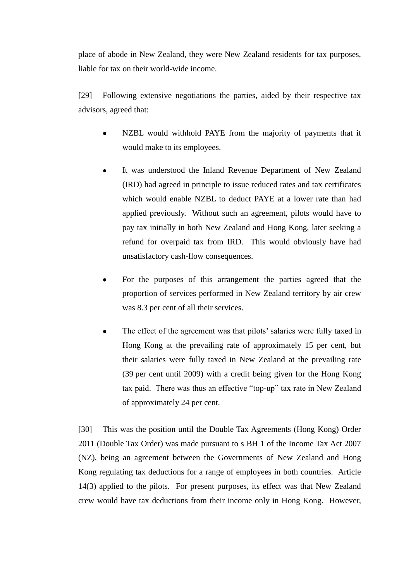place of abode in New Zealand, they were New Zealand residents for tax purposes, liable for tax on their world-wide income.

[29] Following extensive negotiations the parties, aided by their respective tax advisors, agreed that:

- NZBL would withhold PAYE from the majority of payments that it would make to its employees.
- It was understood the Inland Revenue Department of New Zealand (IRD) had agreed in principle to issue reduced rates and tax certificates which would enable NZBL to deduct PAYE at a lower rate than had applied previously. Without such an agreement, pilots would have to pay tax initially in both New Zealand and Hong Kong, later seeking a refund for overpaid tax from IRD. This would obviously have had unsatisfactory cash-flow consequences.
- For the purposes of this arrangement the parties agreed that the proportion of services performed in New Zealand territory by air crew was 8.3 per cent of all their services.
- The effect of the agreement was that pilots' salaries were fully taxed in Hong Kong at the prevailing rate of approximately 15 per cent, but their salaries were fully taxed in New Zealand at the prevailing rate (39 per cent until 2009) with a credit being given for the Hong Kong tax paid. There was thus an effective "top-up" tax rate in New Zealand of approximately 24 per cent.

[30] This was the position until the Double Tax Agreements (Hong Kong) Order 2011 (Double Tax Order) was made pursuant to s BH 1 of the Income Tax Act 2007 (NZ), being an agreement between the Governments of New Zealand and Hong Kong regulating tax deductions for a range of employees in both countries. Article 14(3) applied to the pilots. For present purposes, its effect was that New Zealand crew would have tax deductions from their income only in Hong Kong. However,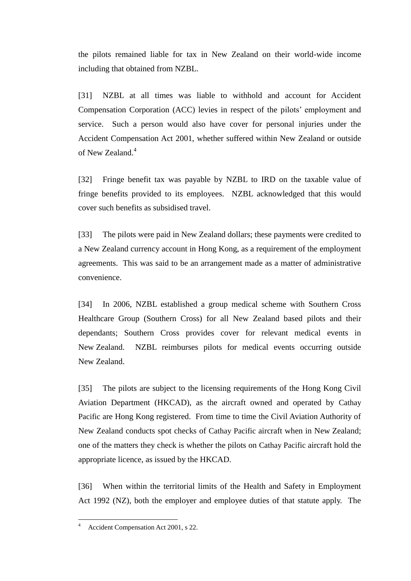the pilots remained liable for tax in New Zealand on their world-wide income including that obtained from NZBL.

[31] NZBL at all times was liable to withhold and account for Accident Compensation Corporation (ACC) levies in respect of the pilots' employment and service. Such a person would also have cover for personal injuries under the Accident Compensation Act 2001, whether suffered within New Zealand or outside of New Zealand.<sup>4</sup>

[32] Fringe benefit tax was payable by NZBL to IRD on the taxable value of fringe benefits provided to its employees. NZBL acknowledged that this would cover such benefits as subsidised travel.

[33] The pilots were paid in New Zealand dollars; these payments were credited to a New Zealand currency account in Hong Kong, as a requirement of the employment agreements. This was said to be an arrangement made as a matter of administrative convenience.

[34] In 2006, NZBL established a group medical scheme with Southern Cross Healthcare Group (Southern Cross) for all New Zealand based pilots and their dependants; Southern Cross provides cover for relevant medical events in New Zealand. NZBL reimburses pilots for medical events occurring outside New Zealand.

[35] The pilots are subject to the licensing requirements of the Hong Kong Civil Aviation Department (HKCAD), as the aircraft owned and operated by Cathay Pacific are Hong Kong registered. From time to time the Civil Aviation Authority of New Zealand conducts spot checks of Cathay Pacific aircraft when in New Zealand; one of the matters they check is whether the pilots on Cathay Pacific aircraft hold the appropriate licence, as issued by the HKCAD.

[36] When within the territorial limits of the Health and Safety in Employment Act 1992 (NZ), both the employer and employee duties of that statute apply. The

<sup>4</sup> Accident Compensation Act 2001, s 22.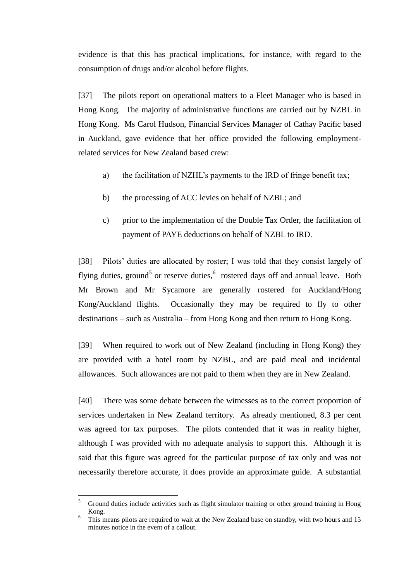evidence is that this has practical implications, for instance, with regard to the consumption of drugs and/or alcohol before flights.

[37] The pilots report on operational matters to a Fleet Manager who is based in Hong Kong. The majority of administrative functions are carried out by NZBL in Hong Kong. Ms Carol Hudson, Financial Services Manager of Cathay Pacific based in Auckland, gave evidence that her office provided the following employmentrelated services for New Zealand based crew:

- a) the facilitation of NZHL's payments to the IRD of fringe benefit tax;
- b) the processing of ACC levies on behalf of NZBL; and
- c) prior to the implementation of the Double Tax Order, the facilitation of payment of PAYE deductions on behalf of NZBL to IRD.

[38] Pilots' duties are allocated by roster; I was told that they consist largely of flying duties, ground<sup>5</sup> or reserve duties, <sup>6</sup> rostered days off and annual leave. Both Mr Brown and Mr Sycamore are generally rostered for Auckland/Hong Kong/Auckland flights. Occasionally they may be required to fly to other destinations – such as Australia – from Hong Kong and then return to Hong Kong.

[39] When required to work out of New Zealand (including in Hong Kong) they are provided with a hotel room by NZBL, and are paid meal and incidental allowances. Such allowances are not paid to them when they are in New Zealand.

[40] There was some debate between the witnesses as to the correct proportion of services undertaken in New Zealand territory. As already mentioned, 8.3 per cent was agreed for tax purposes. The pilots contended that it was in reality higher, although I was provided with no adequate analysis to support this. Although it is said that this figure was agreed for the particular purpose of tax only and was not necessarily therefore accurate, it does provide an approximate guide. A substantial

<sup>5</sup> Ground duties include activities such as flight simulator training or other ground training in Hong Kong.

<sup>6</sup> This means pilots are required to wait at the New Zealand base on standby, with two hours and 15 minutes notice in the event of a callout.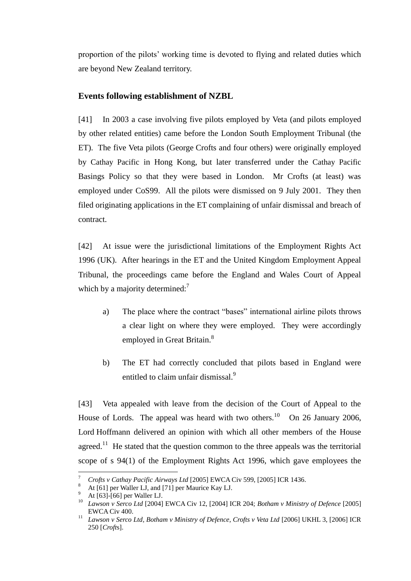proportion of the pilots' working time is devoted to flying and related duties which are beyond New Zealand territory.

# **Events following establishment of NZBL**

[41] In 2003 a case involving five pilots employed by Veta (and pilots employed by other related entities) came before the London South Employment Tribunal (the ET). The five Veta pilots (George Crofts and four others) were originally employed by Cathay Pacific in Hong Kong, but later transferred under the Cathay Pacific Basings Policy so that they were based in London. Mr Crofts (at least) was employed under CoS99. All the pilots were dismissed on 9 July 2001. They then filed originating applications in the ET complaining of unfair dismissal and breach of contract.

[42] At issue were the jurisdictional limitations of the Employment Rights Act 1996 (UK). After hearings in the ET and the United Kingdom Employment Appeal Tribunal, the proceedings came before the England and Wales Court of Appeal which by a majority determined:<sup>7</sup>

- a) The place where the contract "bases" international airline pilots throws a clear light on where they were employed. They were accordingly employed in Great Britain.<sup>8</sup>
- b) The ET had correctly concluded that pilots based in England were entitled to claim unfair dismissal.<sup>9</sup>

[43] Veta appealed with leave from the decision of the Court of Appeal to the House of Lords. The appeal was heard with two others.<sup>10</sup> On 26 January 2006, Lord Hoffmann delivered an opinion with which all other members of the House agreed.<sup>11</sup> He stated that the question common to the three appeals was the territorial scope of s 94(1) of the Employment Rights Act 1996, which gave employees the

<sup>7</sup> *Crofts v Cathay Pacific Airways Ltd* [2005] EWCA Civ 599, [2005] ICR 1436.

At [61] per Waller LJ, and [71] per Maurice Kay LJ.

At [63]-[66] per Waller LJ.

<sup>10</sup> *Lawson v Serco Ltd* [2004] EWCA Civ 12, [2004] ICR 204; *Botham v Ministry of Defence* [2005] EWCA Civ 400.

<sup>11</sup> *Lawson v Serco Ltd, Botham v Ministry of Defence, Crofts v Veta Ltd* [2006] UKHL 3, [2006] ICR 250 [*Croft*s].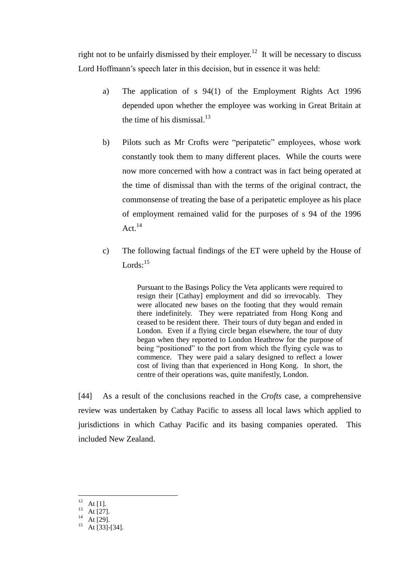right not to be unfairly dismissed by their employer.<sup>12</sup> It will be necessary to discuss Lord Hoffmann's speech later in this decision, but in essence it was held:

- a) The application of s 94(1) of the Employment Rights Act 1996 depended upon whether the employee was working in Great Britain at the time of his dismissal. $^{13}$
- b) Pilots such as Mr Crofts were "peripatetic" employees, whose work constantly took them to many different places. While the courts were now more concerned with how a contract was in fact being operated at the time of dismissal than with the terms of the original contract, the commonsense of treating the base of a peripatetic employee as his place of employment remained valid for the purposes of s 94 of the 1996 Act.<sup>14</sup>
- c) The following factual findings of the ET were upheld by the House of Lords: $15$

Pursuant to the Basings Policy the Veta applicants were required to resign their [Cathay] employment and did so irrevocably. They were allocated new bases on the footing that they would remain there indefinitely. They were repatriated from Hong Kong and ceased to be resident there. Their tours of duty began and ended in London. Even if a flying circle began elsewhere, the tour of duty began when they reported to London Heathrow for the purpose of being "positioned" to the port from which the flying cycle was to commence. They were paid a salary designed to reflect a lower cost of living than that experienced in Hong Kong. In short, the centre of their operations was, quite manifestly, London.

[44] As a result of the conclusions reached in the *Crofts* case, a comprehensive review was undertaken by Cathay Pacific to assess all local laws which applied to jurisdictions in which Cathay Pacific and its basing companies operated. This included New Zealand.

 $12$ At  $[1]$ .

 $13$  At [27].

At [29].

 $15$  At [33]-[34].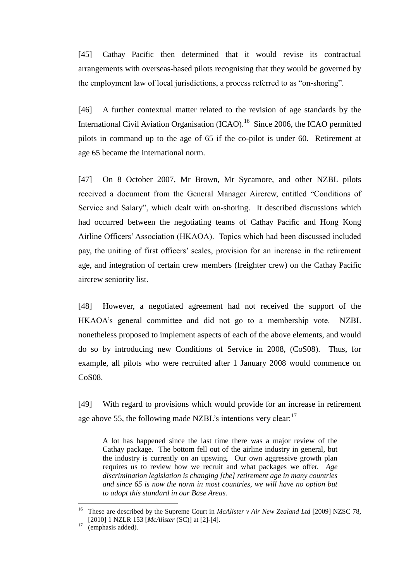[45] Cathay Pacific then determined that it would revise its contractual arrangements with overseas-based pilots recognising that they would be governed by the employment law of local jurisdictions, a process referred to as "on-shoring".

[46] A further contextual matter related to the revision of age standards by the International Civil Aviation Organisation (ICAO).<sup>16</sup> Since 2006, the ICAO permitted pilots in command up to the age of 65 if the co-pilot is under 60. Retirement at age 65 became the international norm.

[47] On 8 October 2007, Mr Brown, Mr Sycamore, and other NZBL pilots received a document from the General Manager Aircrew, entitled "Conditions of Service and Salary", which dealt with on-shoring. It described discussions which had occurred between the negotiating teams of Cathay Pacific and Hong Kong Airline Officers' Association (HKAOA). Topics which had been discussed included pay, the uniting of first officers' scales, provision for an increase in the retirement age, and integration of certain crew members (freighter crew) on the Cathay Pacific aircrew seniority list.

[48] However, a negotiated agreement had not received the support of the HKAOA's general committee and did not go to a membership vote. NZBL nonetheless proposed to implement aspects of each of the above elements, and would do so by introducing new Conditions of Service in 2008, (CoS08). Thus, for example, all pilots who were recruited after 1 January 2008 would commence on CoS08.

[49] With regard to provisions which would provide for an increase in retirement age above 55, the following made NZBL's intentions very clear:<sup>17</sup>

A lot has happened since the last time there was a major review of the Cathay package. The bottom fell out of the airline industry in general, but the industry is currently on an upswing. Our own aggressive growth plan requires us to review how we recruit and what packages we offer. *Age discrimination legislation is changing [the] retirement age in many countries and since 65 is now the norm in most countries, we will have no option but to adopt this standard in our Base Areas.*

<sup>&</sup>lt;sup>16</sup> These are described by the Supreme Court in *McAlister v Air New Zealand Ltd* [2009] NZSC 78, [2010] 1 NZLR 153 [*McAlister* (SC)] at [2]-[4].

<sup>&</sup>lt;sup>17</sup> (emphasis added).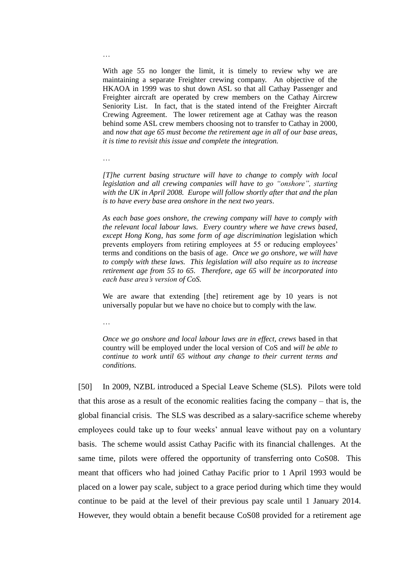With age 55 no longer the limit, it is timely to review why we are maintaining a separate Freighter crewing company. An objective of the HKAOA in 1999 was to shut down ASL so that all Cathay Passenger and Freighter aircraft are operated by crew members on the Cathay Aircrew Seniority List. In fact, that is the stated intend of the Freighter Aircraft Crewing Agreement. The lower retirement age at Cathay was the reason behind some ASL crew members choosing not to transfer to Cathay in 2000, and *now that age 65 must become the retirement age in all of our base areas, it is time to revisit this issue and complete the integration.*

…

*[T]he current basing structure will have to change to comply with local legislation and all crewing companies will have to go "onshore", starting with the UK in April 2008. Europe will follow shortly after that and the plan is to have every base area onshore in the next two years*.

*As each base goes onshore, the crewing company will have to comply with the relevant local labour laws. Every country where we have crews based, except Hong Kong, has some form of age discrimination* legislation which prevents employers from retiring employees at 55 or reducing employees' terms and conditions on the basis of age. *Once we go onshore, we will have to comply with these laws. This legislation will also require us to increase retirement age from 55 to 65. Therefore, age 65 will be incorporated into each base area's version of CoS.*

We are aware that extending [the] retirement age by 10 years is not universally popular but we have no choice but to comply with the law.

…

*Once we go onshore and local labour laws are in effect, crews* based in that country will be employed under the local version of CoS and *will be able to continue to work until 65 without any change to their current terms and conditions.* 

[50] In 2009, NZBL introduced a Special Leave Scheme (SLS). Pilots were told that this arose as a result of the economic realities facing the company – that is, the global financial crisis. The SLS was described as a salary-sacrifice scheme whereby employees could take up to four weeks' annual leave without pay on a voluntary basis. The scheme would assist Cathay Pacific with its financial challenges. At the same time, pilots were offered the opportunity of transferring onto CoS08. This meant that officers who had joined Cathay Pacific prior to 1 April 1993 would be placed on a lower pay scale, subject to a grace period during which time they would continue to be paid at the level of their previous pay scale until 1 January 2014. However, they would obtain a benefit because CoS08 provided for a retirement age

…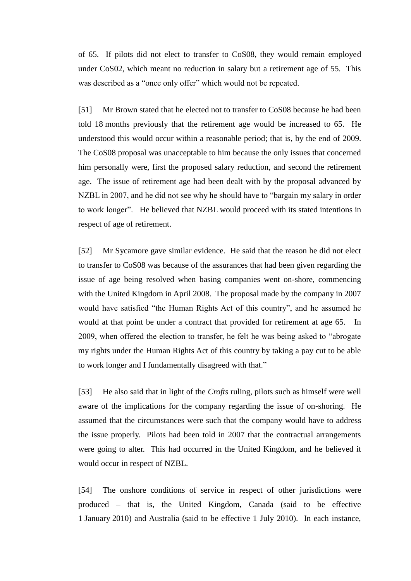of 65. If pilots did not elect to transfer to CoS08, they would remain employed under CoS02, which meant no reduction in salary but a retirement age of 55. This was described as a "once only offer" which would not be repeated.

[51] Mr Brown stated that he elected not to transfer to CoS08 because he had been told 18 months previously that the retirement age would be increased to 65. He understood this would occur within a reasonable period; that is, by the end of 2009. The CoS08 proposal was unacceptable to him because the only issues that concerned him personally were, first the proposed salary reduction, and second the retirement age. The issue of retirement age had been dealt with by the proposal advanced by NZBL in 2007, and he did not see why he should have to "bargain my salary in order to work longer". He believed that NZBL would proceed with its stated intentions in respect of age of retirement.

[52] Mr Sycamore gave similar evidence. He said that the reason he did not elect to transfer to CoS08 was because of the assurances that had been given regarding the issue of age being resolved when basing companies went on-shore, commencing with the United Kingdom in April 2008. The proposal made by the company in 2007 would have satisfied "the Human Rights Act of this country", and he assumed he would at that point be under a contract that provided for retirement at age 65. In 2009, when offered the election to transfer, he felt he was being asked to "abrogate my rights under the Human Rights Act of this country by taking a pay cut to be able to work longer and I fundamentally disagreed with that."

[53] He also said that in light of the *Crofts* ruling, pilots such as himself were well aware of the implications for the company regarding the issue of on-shoring. He assumed that the circumstances were such that the company would have to address the issue properly. Pilots had been told in 2007 that the contractual arrangements were going to alter. This had occurred in the United Kingdom, and he believed it would occur in respect of NZBL.

[54] The onshore conditions of service in respect of other jurisdictions were produced – that is, the United Kingdom, Canada (said to be effective 1 January 2010) and Australia (said to be effective 1 July 2010). In each instance,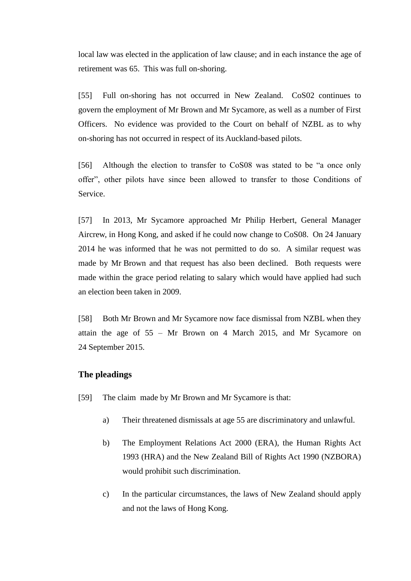local law was elected in the application of law clause; and in each instance the age of retirement was 65. This was full on-shoring.

[55] Full on-shoring has not occurred in New Zealand. CoS02 continues to govern the employment of Mr Brown and Mr Sycamore, as well as a number of First Officers. No evidence was provided to the Court on behalf of NZBL as to why on-shoring has not occurred in respect of its Auckland-based pilots.

[56] Although the election to transfer to CoS08 was stated to be "a once only offer", other pilots have since been allowed to transfer to those Conditions of Service.

[57] In 2013, Mr Sycamore approached Mr Philip Herbert, General Manager Aircrew, in Hong Kong, and asked if he could now change to CoS08. On 24 January 2014 he was informed that he was not permitted to do so. A similar request was made by Mr Brown and that request has also been declined. Both requests were made within the grace period relating to salary which would have applied had such an election been taken in 2009.

[58] Both Mr Brown and Mr Sycamore now face dismissal from NZBL when they attain the age of 55 – Mr Brown on 4 March 2015, and Mr Sycamore on 24 September 2015.

# **The pleadings**

- [59] The claim made by Mr Brown and Mr Sycamore is that:
	- a) Their threatened dismissals at age 55 are discriminatory and unlawful.
	- b) The Employment Relations Act 2000 (ERA), the Human Rights Act 1993 (HRA) and the New Zealand Bill of Rights Act 1990 (NZBORA) would prohibit such discrimination.
	- c) In the particular circumstances, the laws of New Zealand should apply and not the laws of Hong Kong.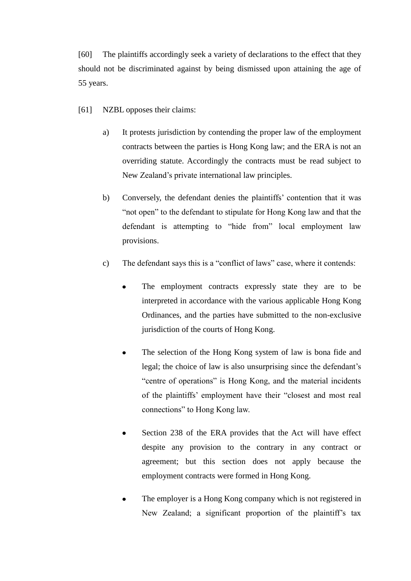[60] The plaintiffs accordingly seek a variety of declarations to the effect that they should not be discriminated against by being dismissed upon attaining the age of 55 years.

- [61] NZBL opposes their claims:
	- a) It protests jurisdiction by contending the proper law of the employment contracts between the parties is Hong Kong law; and the ERA is not an overriding statute. Accordingly the contracts must be read subject to New Zealand's private international law principles.
	- b) Conversely, the defendant denies the plaintiffs' contention that it was "not open" to the defendant to stipulate for Hong Kong law and that the defendant is attempting to "hide from" local employment law provisions.
	- c) The defendant says this is a "conflict of laws" case, where it contends:
		- $\bullet$ The employment contracts expressly state they are to be interpreted in accordance with the various applicable Hong Kong Ordinances, and the parties have submitted to the non-exclusive jurisdiction of the courts of Hong Kong.
		- The selection of the Hong Kong system of law is bona fide and  $\bullet$ legal; the choice of law is also unsurprising since the defendant's "centre of operations" is Hong Kong, and the material incidents of the plaintiffs' employment have their "closest and most real connections" to Hong Kong law.
		- Section 238 of the ERA provides that the Act will have effect  $\bullet$ despite any provision to the contrary in any contract or agreement; but this section does not apply because the employment contracts were formed in Hong Kong.
		- The employer is a Hong Kong company which is not registered in  $\bullet$ New Zealand; a significant proportion of the plaintiff's tax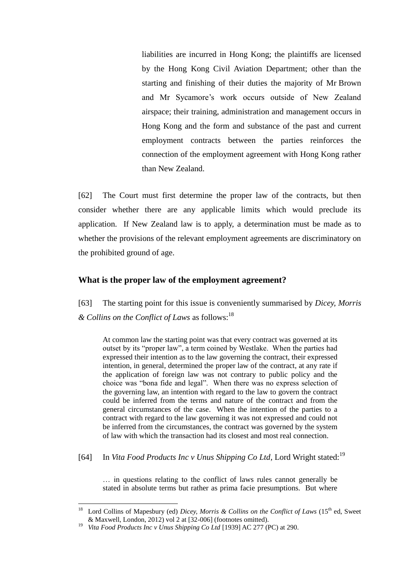liabilities are incurred in Hong Kong; the plaintiffs are licensed by the Hong Kong Civil Aviation Department; other than the starting and finishing of their duties the majority of Mr Brown and Mr Sycamore's work occurs outside of New Zealand airspace; their training, administration and management occurs in Hong Kong and the form and substance of the past and current employment contracts between the parties reinforces the connection of the employment agreement with Hong Kong rather than New Zealand.

[62] The Court must first determine the proper law of the contracts, but then consider whether there are any applicable limits which would preclude its application. If New Zealand law is to apply, a determination must be made as to whether the provisions of the relevant employment agreements are discriminatory on the prohibited ground of age.

### **What is the proper law of the employment agreement?**

[63] The starting point for this issue is conveniently summarised by *Dicey, Morris & Collins on the Conflict of Laws* as follows:<sup>18</sup>

At common law the starting point was that every contract was governed at its outset by its "proper law", a term coined by Westlake. When the parties had expressed their intention as to the law governing the contract, their expressed intention, in general, determined the proper law of the contract, at any rate if the application of foreign law was not contrary to public policy and the choice was "bona fide and legal". When there was no express selection of the governing law, an intention with regard to the law to govern the contract could be inferred from the terms and nature of the contract and from the general circumstances of the case. When the intention of the parties to a contract with regard to the law governing it was not expressed and could not be inferred from the circumstances, the contract was governed by the system of law with which the transaction had its closest and most real connection.

[64] In *Vita Food Products Inc v Unus Shipping Co Ltd*, Lord Wright stated:<sup>19</sup>

… in questions relating to the conflict of laws rules cannot generally be stated in absolute terms but rather as prima facie presumptions. But where

<sup>&</sup>lt;sup>18</sup> Lord Collins of Mapesbury (ed) *Dicey, Morris & Collins on the Conflict of Laws* (15<sup>th</sup> ed, Sweet & Maxwell, London, 2012) vol 2 at [32-006] (footnotes omitted).

<sup>19</sup> *Vita Food Products Inc v Unus Shipping Co Ltd* [1939] AC 277 (PC) at 290.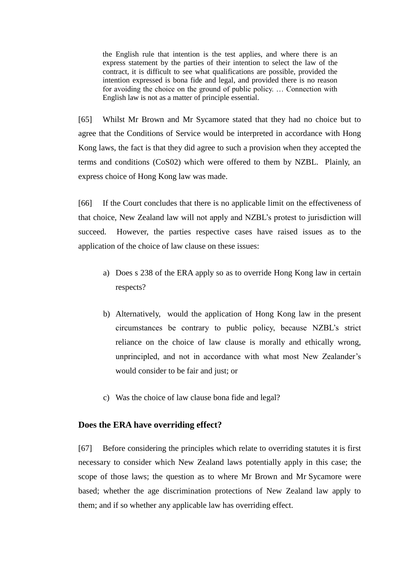the English rule that intention is the test applies, and where there is an express statement by the parties of their intention to select the law of the contract, it is difficult to see what qualifications are possible, provided the intention expressed is bona fide and legal, and provided there is no reason for avoiding the choice on the ground of public policy. … Connection with English law is not as a matter of principle essential.

[65] Whilst Mr Brown and Mr Sycamore stated that they had no choice but to agree that the Conditions of Service would be interpreted in accordance with Hong Kong laws, the fact is that they did agree to such a provision when they accepted the terms and conditions (CoS02) which were offered to them by NZBL. Plainly, an express choice of Hong Kong law was made.

[66] If the Court concludes that there is no applicable limit on the effectiveness of that choice, New Zealand law will not apply and NZBL's protest to jurisdiction will succeed. However, the parties respective cases have raised issues as to the application of the choice of law clause on these issues:

- a) Does s 238 of the ERA apply so as to override Hong Kong law in certain respects?
- b) Alternatively, would the application of Hong Kong law in the present circumstances be contrary to public policy, because NZBL's strict reliance on the choice of law clause is morally and ethically wrong, unprincipled, and not in accordance with what most New Zealander's would consider to be fair and just; or
- c) Was the choice of law clause bona fide and legal?

### **Does the ERA have overriding effect?**

[67] Before considering the principles which relate to overriding statutes it is first necessary to consider which New Zealand laws potentially apply in this case; the scope of those laws; the question as to where Mr Brown and Mr Sycamore were based; whether the age discrimination protections of New Zealand law apply to them; and if so whether any applicable law has overriding effect.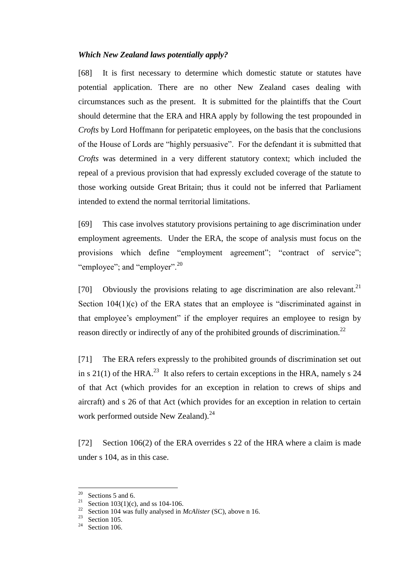### *Which New Zealand laws potentially apply?*

[68] It is first necessary to determine which domestic statute or statutes have potential application. There are no other New Zealand cases dealing with circumstances such as the present. It is submitted for the plaintiffs that the Court should determine that the ERA and HRA apply by following the test propounded in *Crofts* by Lord Hoffmann for peripatetic employees, on the basis that the conclusions of the House of Lords are "highly persuasive". For the defendant it is submitted that *Crofts* was determined in a very different statutory context; which included the repeal of a previous provision that had expressly excluded coverage of the statute to those working outside Great Britain; thus it could not be inferred that Parliament intended to extend the normal territorial limitations.

[69] This case involves statutory provisions pertaining to age discrimination under employment agreements. Under the ERA, the scope of analysis must focus on the provisions which define "employment agreement"; "contract of service"; "employee"; and "employer". $^{20}$ 

[70] Obviously the provisions relating to age discrimination are also relevant.<sup>21</sup> Section  $104(1)(c)$  of the ERA states that an employee is "discriminated against in that employee's employment" if the employer requires an employee to resign by reason directly or indirectly of any of the prohibited grounds of discrimination.<sup>22</sup>

[71] The ERA refers expressly to the prohibited grounds of discrimination set out in s 21(1) of the HRA.<sup>23</sup> It also refers to certain exceptions in the HRA, namely s 24 of that Act (which provides for an exception in relation to crews of ships and aircraft) and s 26 of that Act (which provides for an exception in relation to certain work performed outside New Zealand).<sup>24</sup>

[72] Section 106(2) of the ERA overrides s 22 of the HRA where a claim is made under s 104, as in this case.

<sup>20</sup> <sup>20</sup> Sections 5 and 6.<br><sup>21</sup> Section 102(1)(c)

Section  $103(1)(c)$ , and ss 104-106.

<sup>&</sup>lt;sup>22</sup> Section 104 was fully analysed in *McAlister* (SC), above n 16.<br><sup>23</sup> Section 105

 $\frac{23}{24}$  Section 105.

Section 106.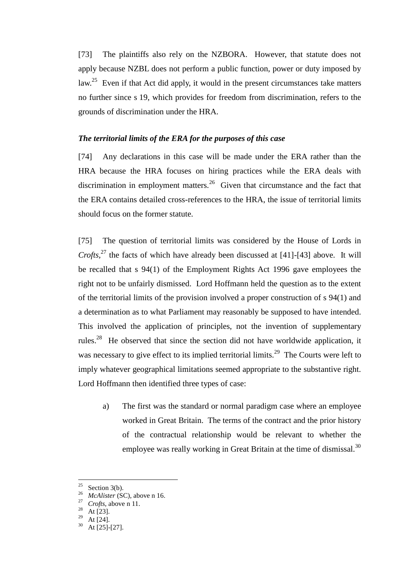[73] The plaintiffs also rely on the NZBORA. However, that statute does not apply because NZBL does not perform a public function, power or duty imposed by law.<sup>25</sup> Even if that Act did apply, it would in the present circumstances take matters no further since s 19, which provides for freedom from discrimination, refers to the grounds of discrimination under the HRA.

#### *The territorial limits of the ERA for the purposes of this case*

[74] Any declarations in this case will be made under the ERA rather than the HRA because the HRA focuses on hiring practices while the ERA deals with discrimination in employment matters.<sup>26</sup> Given that circumstance and the fact that the ERA contains detailed cross-references to the HRA, the issue of territorial limits should focus on the former statute.

[75] The question of territorial limits was considered by the House of Lords in *Crofts,*<sup>27</sup> the facts of which have already been discussed at [41]-[43] above. It will be recalled that s 94(1) of the Employment Rights Act 1996 gave employees the right not to be unfairly dismissed. Lord Hoffmann held the question as to the extent of the territorial limits of the provision involved a proper construction of s 94(1) and a determination as to what Parliament may reasonably be supposed to have intended. This involved the application of principles, not the invention of supplementary rules.<sup>28</sup> He observed that since the section did not have worldwide application, it was necessary to give effect to its implied territorial limits.<sup>29</sup> The Courts were left to imply whatever geographical limitations seemed appropriate to the substantive right. Lord Hoffmann then identified three types of case:

a) The first was the standard or normal paradigm case where an employee worked in Great Britain. The terms of the contract and the prior history of the contractual relationship would be relevant to whether the employee was really working in Great Britain at the time of dismissal.<sup>30</sup>

<sup>25</sup> Section 3(b).

<sup>26</sup> *McAlister* (SC), above n 16.

*Crofts*, above n 11.

At [23].

At [24].

At [25]-[27].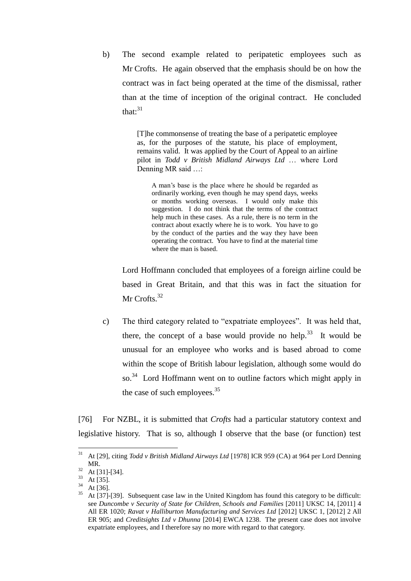b) The second example related to peripatetic employees such as Mr Crofts. He again observed that the emphasis should be on how the contract was in fact being operated at the time of the dismissal, rather than at the time of inception of the original contract. He concluded that: $31$ 

> [T]he commonsense of treating the base of a peripatetic employee as, for the purposes of the statute, his place of employment, remains valid. It was applied by the Court of Appeal to an airline pilot in *Todd v British Midland Airways Ltd* … where Lord Denning MR said ...:

A man's base is the place where he should be regarded as ordinarily working, even though he may spend days, weeks or months working overseas. I would only make this suggestion. I do not think that the terms of the contract help much in these cases. As a rule, there is no term in the contract about exactly where he is to work. You have to go by the conduct of the parties and the way they have been operating the contract. You have to find at the material time where the man is based.

Lord Hoffmann concluded that employees of a foreign airline could be based in Great Britain, and that this was in fact the situation for Mr Crofts.<sup>32</sup>

c) The third category related to "expatriate employees". It was held that, there, the concept of a base would provide no help.<sup>33</sup> It would be unusual for an employee who works and is based abroad to come within the scope of British labour legislation, although some would do so.<sup>34</sup> Lord Hoffmann went on to outline factors which might apply in the case of such employees. $35$ 

[76] For NZBL, it is submitted that *Crofts* had a particular statutory context and legislative history. That is so, although I observe that the base (or function) test

<sup>31</sup> <sup>31</sup> At [29], citing *Todd v British Midland Airways Ltd* [1978] ICR 959 (CA) at 964 per Lord Denning MR.

 $rac{32}{33}$  At [31]-[34].

 $\frac{33}{34}$  At [35].

 $rac{34}{35}$  At [36].

<sup>35</sup> At [37]-[39]. Subsequent case law in the United Kingdom has found this category to be difficult: see *Duncombe v Security of State for Children, Schools and Families* [2011] UKSC 14, [2011] 4 All ER 1020; *Ravat v Halliburton Manufacturing and Services Ltd* [2012] UKSC 1, [2012] 2 All ER 905; and *Creditsights Ltd v Dhunna* [2014] EWCA 1238. The present case does not involve expatriate employees, and I therefore say no more with regard to that category.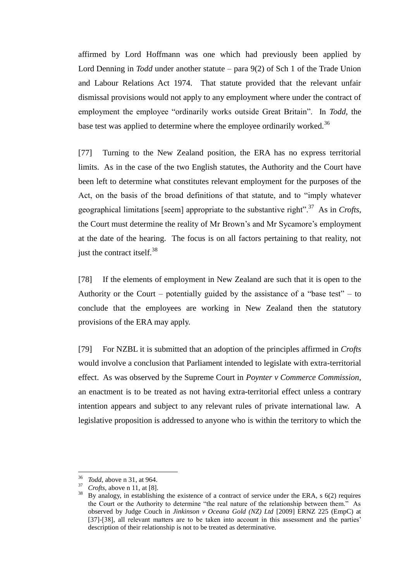affirmed by Lord Hoffmann was one which had previously been applied by Lord Denning in *Todd* under another statute – para 9(2) of Sch 1 of the Trade Union and Labour Relations Act 1974. That statute provided that the relevant unfair dismissal provisions would not apply to any employment where under the contract of employment the employee "ordinarily works outside Great Britain". In *Todd,* the base test was applied to determine where the employee ordinarily worked.<sup>36</sup>

[77] Turning to the New Zealand position, the ERA has no express territorial limits. As in the case of the two English statutes, the Authority and the Court have been left to determine what constitutes relevant employment for the purposes of the Act, on the basis of the broad definitions of that statute, and to "imply whatever geographical limitations [seem] appropriate to the substantive right".<sup>37</sup> As in *Crofts*, the Court must determine the reality of Mr Brown's and Mr Sycamore's employment at the date of the hearing. The focus is on all factors pertaining to that reality, not just the contract itself.<sup>38</sup>

[78] If the elements of employment in New Zealand are such that it is open to the Authority or the Court – potentially guided by the assistance of a "base test" – to conclude that the employees are working in New Zealand then the statutory provisions of the ERA may apply.

[79] For NZBL it is submitted that an adoption of the principles affirmed in *Crofts*  would involve a conclusion that Parliament intended to legislate with extra-territorial effect. As was observed by the Supreme Court in *Poynter v Commerce Commission*, an enactment is to be treated as not having extra-territorial effect unless a contrary intention appears and subject to any relevant rules of private international law. A legislative proposition is addressed to anyone who is within the territory to which the

<sup>36</sup> *Todd*, above n 31, at 964.

<sup>37</sup> *Crofts,* above n 11, at [8].

 $38$  By analogy, in establishing the existence of a contract of service under the ERA, s  $6(2)$  requires the Court or the Authority to determine "the real nature of the relationship between them." As observed by Judge Couch in *Jinkinson v Oceana Gold (NZ) Ltd* [2009] ERNZ 225 (EmpC) at [37]-[38], all relevant matters are to be taken into account in this assessment and the parties' description of their relationship is not to be treated as determinative.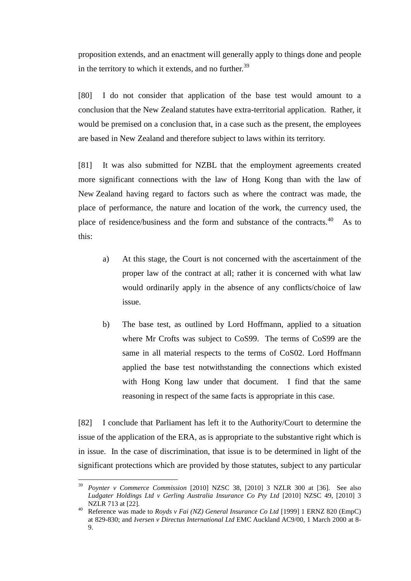proposition extends, and an enactment will generally apply to things done and people in the territory to which it extends, and no further. $39$ 

[80] I do not consider that application of the base test would amount to a conclusion that the New Zealand statutes have extra-territorial application. Rather, it would be premised on a conclusion that, in a case such as the present, the employees are based in New Zealand and therefore subject to laws within its territory.

[81] It was also submitted for NZBL that the employment agreements created more significant connections with the law of Hong Kong than with the law of New Zealand having regard to factors such as where the contract was made, the place of performance, the nature and location of the work, the currency used, the place of residence/business and the form and substance of the contracts. $40$  As to this:

- a) At this stage, the Court is not concerned with the ascertainment of the proper law of the contract at all; rather it is concerned with what law would ordinarily apply in the absence of any conflicts/choice of law issue.
- b) The base test, as outlined by Lord Hoffmann, applied to a situation where Mr Crofts was subject to CoS99. The terms of CoS99 are the same in all material respects to the terms of CoS02. Lord Hoffmann applied the base test notwithstanding the connections which existed with Hong Kong law under that document. I find that the same reasoning in respect of the same facts is appropriate in this case.

[82] I conclude that Parliament has left it to the Authority/Court to determine the issue of the application of the ERA, as is appropriate to the substantive right which is in issue. In the case of discrimination, that issue is to be determined in light of the significant protections which are provided by those statutes, subject to any particular

<sup>39</sup> <sup>39</sup> *Poynter v Commerce Commission* [2010] NZSC 38, [2010] 3 NZLR 300 at [36]. See also *Ludgater Holdings Ltd v Gerling Australia Insurance Co Pty Ltd* [2010] NZSC 49, [2010] 3 NZLR 713 at [22].

<sup>&</sup>lt;sup>40</sup> Reference was made to *Royds v Fai (NZ) General Insurance Co Ltd* [1999] 1 ERNZ 820 (EmpC) at 829-830; and *Iversen v Directus International Ltd* EMC Auckland AC9/00, 1 March 2000 at 8- 9.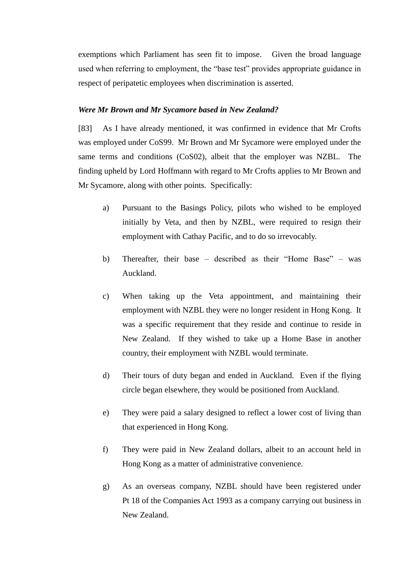exemptions which Parliament has seen fit to impose. Given the broad language used when referring to employment, the "base test" provides appropriate guidance in respect of peripatetic employees when discrimination is asserted.

#### *Were Mr Brown and Mr Sycamore based in New Zealand?*

[83] As I have already mentioned, it was confirmed in evidence that Mr Crofts was employed under CoS99. Mr Brown and Mr Sycamore were employed under the same terms and conditions (CoS02), albeit that the employer was NZBL. The finding upheld by Lord Hoffmann with regard to Mr Crofts applies to Mr Brown and Mr Sycamore, along with other points. Specifically:

- a) Pursuant to the Basings Policy, pilots who wished to be employed initially by Veta, and then by NZBL, were required to resign their employment with Cathay Pacific, and to do so irrevocably.
- b) Thereafter, their base described as their "Home Base" was Auckland.
- c) When taking up the Veta appointment, and maintaining their employment with NZBL they were no longer resident in Hong Kong. It was a specific requirement that they reside and continue to reside in New Zealand. If they wished to take up a Home Base in another country, their employment with NZBL would terminate.
- d) Their tours of duty began and ended in Auckland. Even if the flying circle began elsewhere, they would be positioned from Auckland.
- e) They were paid a salary designed to reflect a lower cost of living than that experienced in Hong Kong.
- f) They were paid in New Zealand dollars, albeit to an account held in Hong Kong as a matter of administrative convenience.
- g) As an overseas company, NZBL should have been registered under Pt 18 of the Companies Act 1993 as a company carrying out business in New Zealand.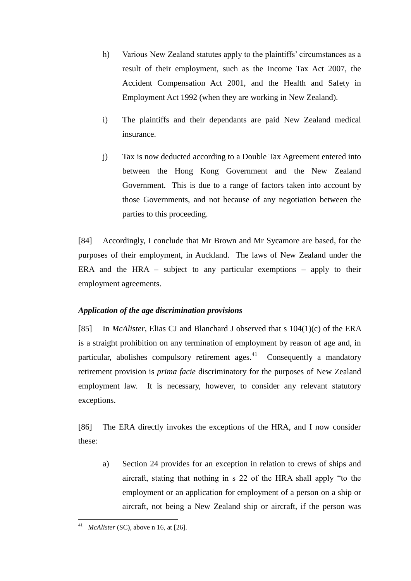- h) Various New Zealand statutes apply to the plaintiffs' circumstances as a result of their employment, such as the Income Tax Act 2007, the Accident Compensation Act 2001, and the Health and Safety in Employment Act 1992 (when they are working in New Zealand).
- i) The plaintiffs and their dependants are paid New Zealand medical insurance.
- j) Tax is now deducted according to a Double Tax Agreement entered into between the Hong Kong Government and the New Zealand Government. This is due to a range of factors taken into account by those Governments, and not because of any negotiation between the parties to this proceeding.

[84] Accordingly, I conclude that Mr Brown and Mr Sycamore are based, for the purposes of their employment, in Auckland. The laws of New Zealand under the ERA and the HRA – subject to any particular exemptions – apply to their employment agreements.

# *Application of the age discrimination provisions*

[85] In *McAlister*, Elias CJ and Blanchard J observed that s 104(1)(c) of the ERA is a straight prohibition on any termination of employment by reason of age and, in particular, abolishes compulsory retirement ages. $41$  Consequently a mandatory retirement provision is *prima facie* discriminatory for the purposes of New Zealand employment law. It is necessary, however, to consider any relevant statutory exceptions.

[86] The ERA directly invokes the exceptions of the HRA, and I now consider these:

a) Section 24 provides for an exception in relation to crews of ships and aircraft, stating that nothing in s 22 of the HRA shall apply "to the employment or an application for employment of a person on a ship or aircraft, not being a New Zealand ship or aircraft, if the person was

 $\overline{a}$ *McAlister* (SC), above n 16, at [26].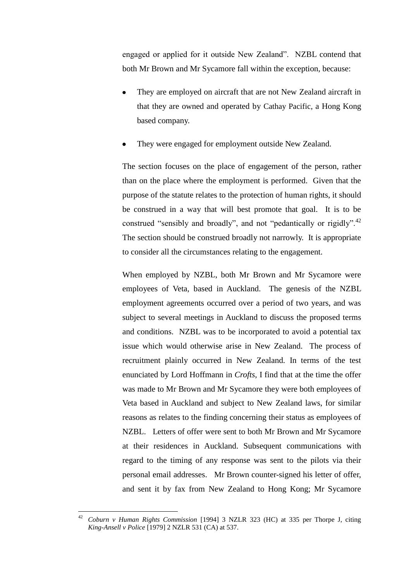engaged or applied for it outside New Zealand". NZBL contend that both Mr Brown and Mr Sycamore fall within the exception, because:

- They are employed on aircraft that are not New Zealand aircraft in that they are owned and operated by Cathay Pacific, a Hong Kong based company.
- They were engaged for employment outside New Zealand.

The section focuses on the place of engagement of the person, rather than on the place where the employment is performed. Given that the purpose of the statute relates to the protection of human rights, it should be construed in a way that will best promote that goal. It is to be construed "sensibly and broadly", and not "pedantically or rigidly".<sup>42</sup> The section should be construed broadly not narrowly. It is appropriate to consider all the circumstances relating to the engagement.

When employed by NZBL, both Mr Brown and Mr Sycamore were employees of Veta, based in Auckland. The genesis of the NZBL employment agreements occurred over a period of two years, and was subject to several meetings in Auckland to discuss the proposed terms and conditions. NZBL was to be incorporated to avoid a potential tax issue which would otherwise arise in New Zealand. The process of recruitment plainly occurred in New Zealand. In terms of the test enunciated by Lord Hoffmann in *Crofts*, I find that at the time the offer was made to Mr Brown and Mr Sycamore they were both employees of Veta based in Auckland and subject to New Zealand laws, for similar reasons as relates to the finding concerning their status as employees of NZBL. Letters of offer were sent to both Mr Brown and Mr Sycamore at their residences in Auckland. Subsequent communications with regard to the timing of any response was sent to the pilots via their personal email addresses. Mr Brown counter-signed his letter of offer, and sent it by fax from New Zealand to Hong Kong; Mr Sycamore

 $42$ <sup>42</sup> *Coburn v Human Rights Commission* [1994] 3 NZLR 323 (HC) at 335 per Thorpe J, citing *King-Ansell v Police* [1979] 2 NZLR 531 (CA) at 537.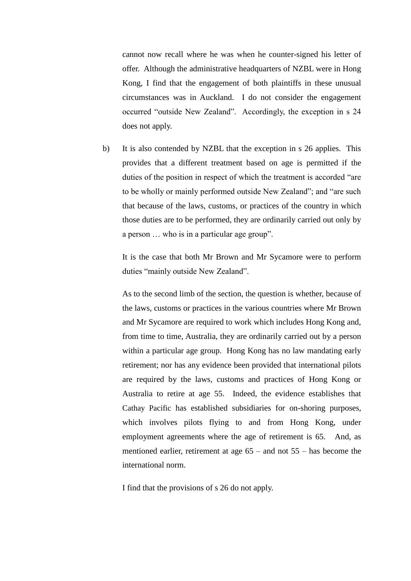cannot now recall where he was when he counter-signed his letter of offer. Although the administrative headquarters of NZBL were in Hong Kong, I find that the engagement of both plaintiffs in these unusual circumstances was in Auckland. I do not consider the engagement occurred "outside New Zealand". Accordingly, the exception in s 24 does not apply.

b) It is also contended by NZBL that the exception in s 26 applies. This provides that a different treatment based on age is permitted if the duties of the position in respect of which the treatment is accorded "are to be wholly or mainly performed outside New Zealand"; and "are such that because of the laws, customs, or practices of the country in which those duties are to be performed, they are ordinarily carried out only by a person … who is in a particular age group".

It is the case that both Mr Brown and Mr Sycamore were to perform duties "mainly outside New Zealand".

As to the second limb of the section, the question is whether, because of the laws, customs or practices in the various countries where Mr Brown and Mr Sycamore are required to work which includes Hong Kong and, from time to time, Australia, they are ordinarily carried out by a person within a particular age group. Hong Kong has no law mandating early retirement; nor has any evidence been provided that international pilots are required by the laws, customs and practices of Hong Kong or Australia to retire at age 55. Indeed, the evidence establishes that Cathay Pacific has established subsidiaries for on-shoring purposes, which involves pilots flying to and from Hong Kong, under employment agreements where the age of retirement is 65. And, as mentioned earlier, retirement at age 65 – and not 55 – has become the international norm.

I find that the provisions of s 26 do not apply.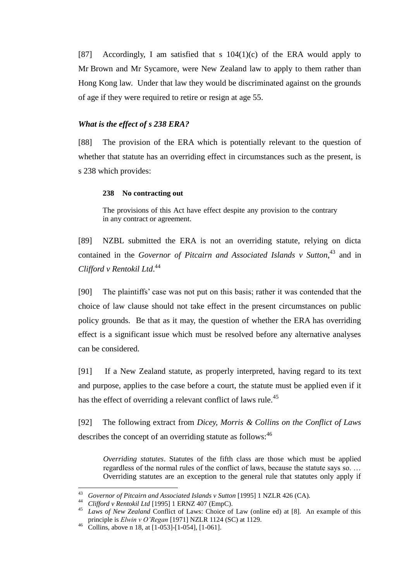[87] Accordingly, I am satisfied that s  $104(1)(c)$  of the ERA would apply to Mr Brown and Mr Sycamore, were New Zealand law to apply to them rather than Hong Kong law. Under that law they would be discriminated against on the grounds of age if they were required to retire or resign at age 55.

#### *What is the effect of s 238 ERA?*

[88] The provision of the ERA which is potentially relevant to the question of whether that statute has an overriding effect in circumstances such as the present, is s 238 which provides:

#### **238 No contracting out**

The provisions of this Act have effect despite any provision to the contrary in any contract or agreement.

[89] NZBL submitted the ERA is not an overriding statute, relying on dicta contained in the *Governor of Pitcairn and Associated Islands v Sutton*, <sup>43</sup> and in *Clifford v Rentokil Ltd*. 44

[90] The plaintiffs' case was not put on this basis; rather it was contended that the choice of law clause should not take effect in the present circumstances on public policy grounds. Be that as it may, the question of whether the ERA has overriding effect is a significant issue which must be resolved before any alternative analyses can be considered.

[91] If a New Zealand statute, as properly interpreted, having regard to its text and purpose, applies to the case before a court, the statute must be applied even if it has the effect of overriding a relevant conflict of laws rule.<sup>45</sup>

[92] The following extract from *Dicey, Morris & Collins on the Conflict of Laws* describes the concept of an overriding statute as follows:<sup>46</sup>

*Overriding statutes*. Statutes of the fifth class are those which must be applied regardless of the normal rules of the conflict of laws, because the statute says so. … Overriding statutes are an exception to the general rule that statutes only apply if

<sup>43</sup> <sup>43</sup> *Governor of Pitcairn and Associated Islands v Sutton* [1995] 1 NZLR 426 (CA).

<sup>44</sup> *Clifford v Rentokil Ltd* [1995] 1 ERNZ 407 (EmpC).

<sup>45</sup> *Laws of New Zealand* Conflict of Laws: Choice of Law (online ed) at [8]. An example of this principle is *Elwin v O'Regan* [1971] NZLR 1124 (SC) at 1129.

<sup>&</sup>lt;sup>46</sup> Collins, above n 18, at  $[1-053]$ - $[1-054]$ ,  $[1-061]$ .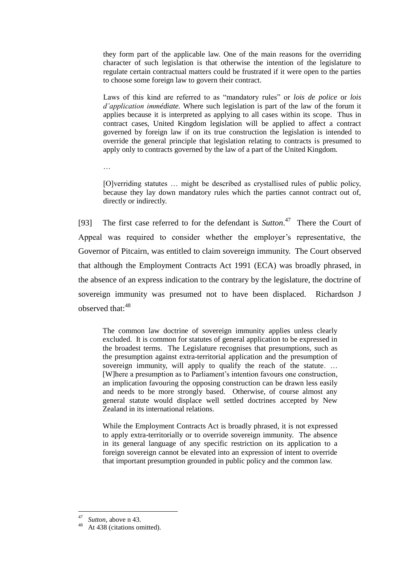they form part of the applicable law. One of the main reasons for the overriding character of such legislation is that otherwise the intention of the legislature to regulate certain contractual matters could be frustrated if it were open to the parties to choose some foreign law to govern their contract.

Laws of this kind are referred to as "mandatory rules" or *lois de police* or *lois d'application immédiate.* Where such legislation is part of the law of the forum it applies because it is interpreted as applying to all cases within its scope. Thus in contract cases, United Kingdom legislation will be applied to affect a contract governed by foreign law if on its true construction the legislation is intended to override the general principle that legislation relating to contracts is presumed to apply only to contracts governed by the law of a part of the United Kingdom.

…

[O]verriding statutes … might be described as crystallised rules of public policy, because they lay down mandatory rules which the parties cannot contract out of, directly or indirectly.

[93] The first case referred to for the defendant is *Sutton*. 47 There the Court of Appeal was required to consider whether the employer's representative, the Governor of Pitcairn, was entitled to claim sovereign immunity. The Court observed that although the Employment Contracts Act 1991 (ECA) was broadly phrased, in the absence of an express indication to the contrary by the legislature, the doctrine of sovereign immunity was presumed not to have been displaced. Richardson J observed that: 48

The common law doctrine of sovereign immunity applies unless clearly excluded. It is common for statutes of general application to be expressed in the broadest terms. The Legislature recognises that presumptions, such as the presumption against extra-territorial application and the presumption of sovereign immunity, will apply to qualify the reach of the statute. ... [W]here a presumption as to Parliament's intention favours one construction, an implication favouring the opposing construction can be drawn less easily and needs to be more strongly based. Otherwise, of course almost any general statute would displace well settled doctrines accepted by New Zealand in its international relations.

While the Employment Contracts Act is broadly phrased, it is not expressed to apply extra-territorially or to override sovereign immunity. The absence in its general language of any specific restriction on its application to a foreign sovereign cannot be elevated into an expression of intent to override that important presumption grounded in public policy and the common law.

 $\frac{47}{48}$  *Sutton*, above n 43.

At 438 (citations omitted).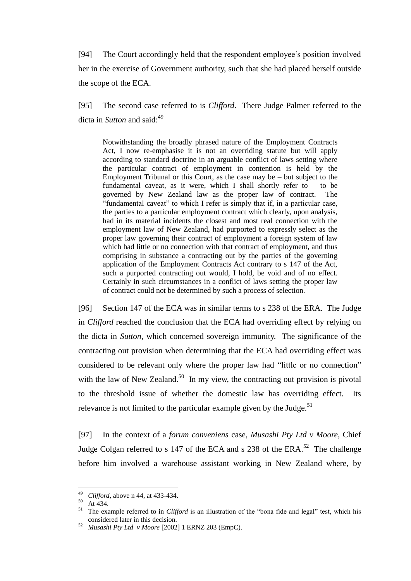[94] The Court accordingly held that the respondent employee's position involved her in the exercise of Government authority, such that she had placed herself outside the scope of the ECA.

[95] The second case referred to is *Clifford*. There Judge Palmer referred to the dicta in *Sutton* and said: 49

Notwithstanding the broadly phrased nature of the Employment Contracts Act, I now re-emphasise it is not an overriding statute but will apply according to standard doctrine in an arguable conflict of laws setting where the particular contract of employment in contention is held by the Employment Tribunal or this Court, as the case may be  $-$  but subject to the fundamental caveat, as it were, which I shall shortly refer to – to be governed by New Zealand law as the proper law of contract. The "fundamental caveat" to which I refer is simply that if, in a particular case, the parties to a particular employment contract which clearly, upon analysis, had in its material incidents the closest and most real connection with the employment law of New Zealand, had purported to expressly select as the proper law governing their contract of employment a foreign system of law which had little or no connection with that contract of employment, and thus comprising in substance a contracting out by the parties of the governing application of the Employment Contracts Act contrary to s 147 of the Act, such a purported contracting out would, I hold, be void and of no effect. Certainly in such circumstances in a conflict of laws setting the proper law of contract could not be determined by such a process of selection.

[96] Section 147 of the ECA was in similar terms to s 238 of the ERA. The Judge in *Clifford* reached the conclusion that the ECA had overriding effect by relying on the dicta in *Sutton,* which concerned sovereign immunity. The significance of the contracting out provision when determining that the ECA had overriding effect was considered to be relevant only where the proper law had "little or no connection" with the law of New Zealand.<sup>50</sup> In my view, the contracting out provision is pivotal to the threshold issue of whether the domestic law has overriding effect. Its relevance is not limited to the particular example given by the Judge.<sup>51</sup>

[97] In the context of a *forum conveniens* case, *Musashi Pty Ltd v Moore*, Chief Judge Colgan referred to s 147 of the ECA and s 238 of the  $ERA.^{52}$  The challenge before him involved a warehouse assistant working in New Zealand where, by

<sup>49</sup> <sup>49</sup> *Clifford*, above n 44, at 433-434.

 $50$  At 434.

<sup>51</sup> The example referred to in *Clifford* is an illustration of the "bona fide and legal" test, which his considered later in this decision.

<sup>52</sup> *Musashi Pty Ltd v Moore* [2002] 1 ERNZ 203 (EmpC).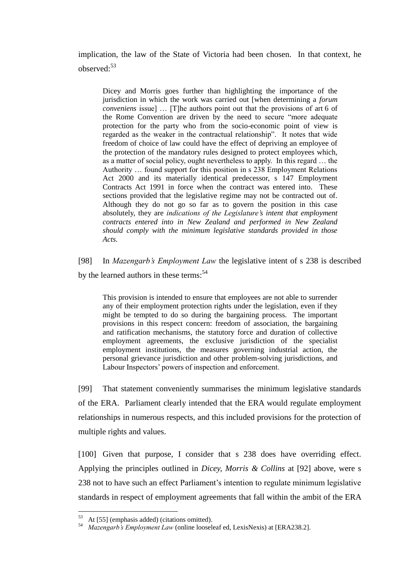implication, the law of the State of Victoria had been chosen. In that context, he observed:<sup>53</sup>

Dicey and Morris goes further than highlighting the importance of the jurisdiction in which the work was carried out [when determining a *forum conveniens* issue] … [T]he authors point out that the provisions of art 6 of the Rome Convention are driven by the need to secure "more adequate protection for the party who from the socio-economic point of view is regarded as the weaker in the contractual relationship". It notes that wide freedom of choice of law could have the effect of depriving an employee of the protection of the mandatory rules designed to protect employees which, as a matter of social policy, ought nevertheless to apply. In this regard … the Authority … found support for this position in s 238 Employment Relations Act 2000 and its materially identical predecessor, s 147 Employment Contracts Act 1991 in force when the contract was entered into. These sections provided that the legislative regime may not be contracted out of. Although they do not go so far as to govern the position in this case absolutely, they are *indications of the Legislature's intent that employment contracts entered into in New Zealand and performed in New Zealand should comply with the minimum legislative standards provided in those Acts.* 

[98] In *Mazengarb's Employment Law* the legislative intent of s 238 is described by the learned authors in these terms:<sup>54</sup>

This provision is intended to ensure that employees are not able to surrender any of their employment protection rights under the legislation, even if they might be tempted to do so during the bargaining process. The important provisions in this respect concern: freedom of association, the bargaining and ratification mechanisms, the statutory force and duration of collective employment agreements, the exclusive jurisdiction of the specialist employment institutions, the measures governing industrial action, the personal grievance jurisdiction and other problem-solving jurisdictions, and Labour Inspectors' powers of inspection and enforcement.

[99] That statement conveniently summarises the minimum legislative standards of the ERA. Parliament clearly intended that the ERA would regulate employment relationships in numerous respects, and this included provisions for the protection of multiple rights and values.

[100] Given that purpose, I consider that s 238 does have overriding effect. Applying the principles outlined in *Dicey, Morris & Collins* at [92] above, were s 238 not to have such an effect Parliament's intention to regulate minimum legislative standards in respect of employment agreements that fall within the ambit of the ERA

At [55] (emphasis added) (citations omitted).

<sup>54</sup> *Mazengarb's Employment Law* (online looseleaf ed, LexisNexis) at [ERA238.2].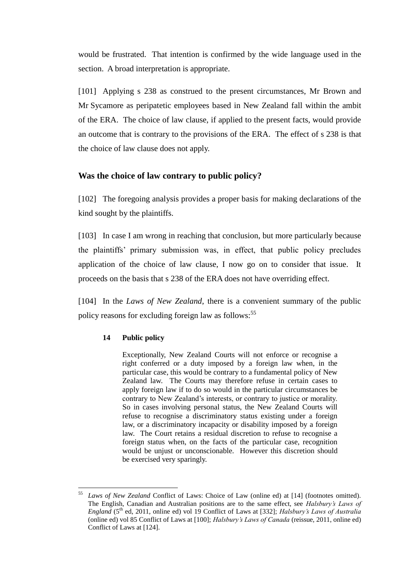would be frustrated. That intention is confirmed by the wide language used in the section. A broad interpretation is appropriate.

[101] Applying s 238 as construed to the present circumstances, Mr Brown and Mr Sycamore as peripatetic employees based in New Zealand fall within the ambit of the ERA. The choice of law clause, if applied to the present facts, would provide an outcome that is contrary to the provisions of the ERA. The effect of s 238 is that the choice of law clause does not apply.

# **Was the choice of law contrary to public policy?**

[102] The foregoing analysis provides a proper basis for making declarations of the kind sought by the plaintiffs.

[103] In case I am wrong in reaching that conclusion, but more particularly because the plaintiffs' primary submission was, in effect, that public policy precludes application of the choice of law clause, I now go on to consider that issue. It proceeds on the basis that s 238 of the ERA does not have overriding effect.

[104] In the *Laws of New Zealand*, there is a convenient summary of the public policy reasons for excluding foreign law as follows:<sup>55</sup>

### **14 Public policy**

 $\overline{a}$ 

Exceptionally, New Zealand Courts will not enforce or recognise a right conferred or a duty imposed by a foreign law when, in the particular case, this would be contrary to a fundamental policy of New Zealand law. The Courts may therefore refuse in certain cases to apply foreign law if to do so would in the particular circumstances be contrary to New Zealand's interests, or contrary to justice or morality. So in cases involving personal status, the New Zealand Courts will refuse to recognise a discriminatory status existing under a foreign law, or a discriminatory incapacity or disability imposed by a foreign law. The Court retains a residual discretion to refuse to recognise a foreign status when, on the facts of the particular case, recognition would be unjust or unconscionable. However this discretion should be exercised very sparingly.

<sup>55</sup> *Laws of New Zealand* Conflict of Laws: Choice of Law (online ed) at [14] (footnotes omitted). The English, Canadian and Australian positions are to the same effect, see *Halsbury's Laws of England* (5th ed, 2011, online ed) vol 19 Conflict of Laws at [332]; *Halsbury's Laws of Australia*  (online ed) vol 85 Conflict of Laws at [100]; *Halsbury's Laws of Canada* (reissue, 2011, online ed) Conflict of Laws at [124].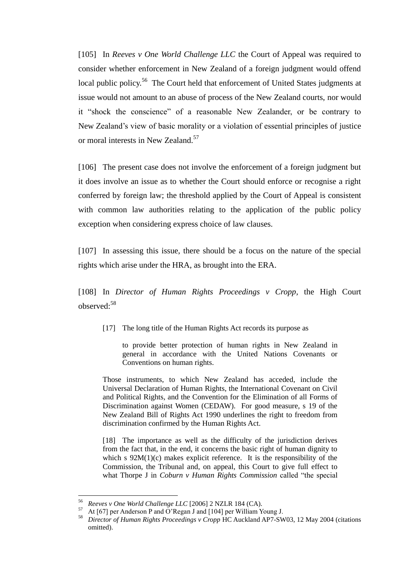[105] In *Reeves v One World Challenge LLC* the Court of Appeal was required to consider whether enforcement in New Zealand of a foreign judgment would offend local public policy.<sup>56</sup> The Court held that enforcement of United States judgments at issue would not amount to an abuse of process of the New Zealand courts, nor would it "shock the conscience" of a reasonable New Zealander, or be contrary to New Zealand's view of basic morality or a violation of essential principles of justice or moral interests in New Zealand.<sup>57</sup>

[106] The present case does not involve the enforcement of a foreign judgment but it does involve an issue as to whether the Court should enforce or recognise a right conferred by foreign law; the threshold applied by the Court of Appeal is consistent with common law authorities relating to the application of the public policy exception when considering express choice of law clauses.

[107] In assessing this issue, there should be a focus on the nature of the special rights which arise under the HRA, as brought into the ERA.

[108] In *Director of Human Rights Proceedings v Cropp,* the High Court observed:<sup>58</sup>

[17] The long title of the Human Rights Act records its purpose as

to provide better protection of human rights in New Zealand in general in accordance with the United Nations Covenants or Conventions on human rights.

Those instruments, to which New Zealand has acceded, include the Universal Declaration of Human Rights, the International Covenant on Civil and Political Rights, and the Convention for the Elimination of all Forms of Discrimination against Women (CEDAW). For good measure, s 19 of the New Zealand Bill of Rights Act 1990 underlines the right to freedom from discrimination confirmed by the Human Rights Act.

[18] The importance as well as the difficulty of the jurisdiction derives from the fact that, in the end, it concerns the basic right of human dignity to which s  $92M(1)(c)$  makes explicit reference. It is the responsibility of the Commission, the Tribunal and, on appeal, this Court to give full effect to what Thorpe J in *Coburn v Human Rights Commission* called "the special

<sup>56</sup> *Reeves v One World Challenge LLC* [2006] 2 NZLR 184 (CA).

<sup>&</sup>lt;sup>57</sup> At [67] per Anderson P and O'Regan J and [104] per William Young J.<br><sup>58</sup> Director of Human Rights Proceedings y Cropp HC Auckland AP7 SW

<sup>58</sup> *Director of Human Rights Proceedings v Cropp* HC Auckland AP7-SW03, 12 May 2004 (citations omitted).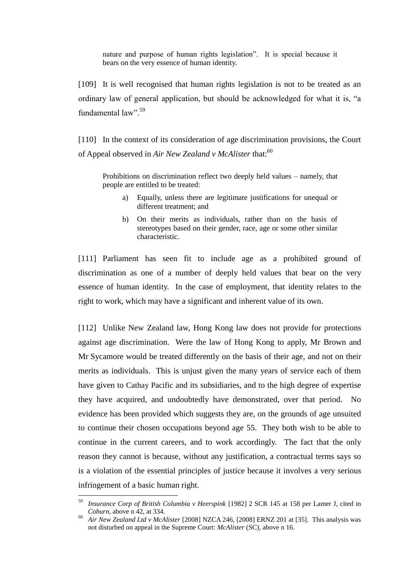nature and purpose of human rights legislation". It is special because it bears on the very essence of human identity.

[109] It is well recognised that human rights legislation is not to be treated as an ordinary law of general application, but should be acknowledged for what it is, "a fundamental law".<sup>59</sup>

[110] In the context of its consideration of age discrimination provisions, the Court of Appeal observed in *Air New Zealand v McAlister* that:<sup>60</sup>

Prohibitions on discrimination reflect two deeply held values – namely, that people are entitled to be treated:

- a) Equally, unless there are legitimate justifications for unequal or different treatment; and
- b) On their merits as individuals, rather than on the basis of stereotypes based on their gender, race, age or some other similar characteristic.

[111] Parliament has seen fit to include age as a prohibited ground of discrimination as one of a number of deeply held values that bear on the very essence of human identity. In the case of employment, that identity relates to the right to work, which may have a significant and inherent value of its own.

[112] Unlike New Zealand law, Hong Kong law does not provide for protections against age discrimination. Were the law of Hong Kong to apply, Mr Brown and Mr Sycamore would be treated differently on the basis of their age, and not on their merits as individuals. This is unjust given the many years of service each of them have given to Cathay Pacific and its subsidiaries, and to the high degree of expertise they have acquired, and undoubtedly have demonstrated, over that period. No evidence has been provided which suggests they are, on the grounds of age unsuited to continue their chosen occupations beyond age 55. They both wish to be able to continue in the current careers, and to work accordingly. The fact that the only reason they cannot is because, without any justification, a contractual terms says so is a violation of the essential principles of justice because it involves a very serious infringement of a basic human right.

<sup>59</sup> *Insurance Corp of British Columbia v Heerspink* [1982] 2 SCR 145 at 158 per Lamer J, cited in *Coburn*, above n 42, at 334.

<sup>60</sup> *Air New Zealand Ltd v McAlister* [2008] NZCA 246, [2008] ERNZ 201 at [35]. This analysis was not disturbed on appeal in the Supreme Court: *McAlister* (SC), above n 16.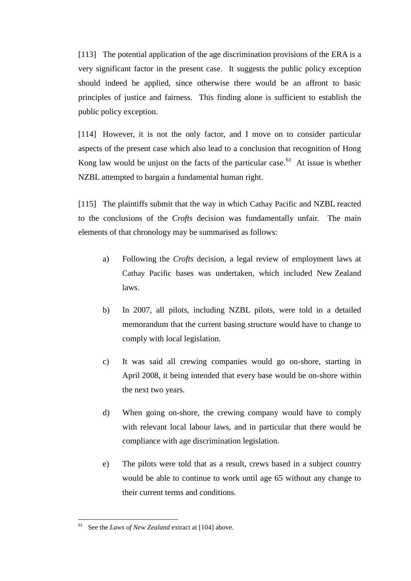[113] The potential application of the age discrimination provisions of the ERA is a very significant factor in the present case. It suggests the public policy exception should indeed be applied, since otherwise there would be an affront to basic principles of justice and fairness. This finding alone is sufficient to establish the public policy exception.

[114] However, it is not the only factor, and I move on to consider particular aspects of the present case which also lead to a conclusion that recognition of Hong Kong law would be unjust on the facts of the particular case.<sup>61</sup> At issue is whether NZBL attempted to bargain a fundamental human right.

[115] The plaintiffs submit that the way in which Cathay Pacific and NZBL reacted to the conclusions of the *Crofts* decision was fundamentally unfair. The main elements of that chronology may be summarised as follows:

- a) Following the *Crofts* decision, a legal review of employment laws at Cathay Pacific bases was undertaken, which included New Zealand laws.
- b) In 2007, all pilots, including NZBL pilots, were told in a detailed memorandum that the current basing structure would have to change to comply with local legislation.
- c) It was said all crewing companies would go on-shore, starting in April 2008, it being intended that every base would be on-shore within the next two years.
- d) When going on-shore, the crewing company would have to comply with relevant local labour laws, and in particular that there would be compliance with age discrimination legislation.
- e) The pilots were told that as a result, crews based in a subject country would be able to continue to work until age 65 without any change to their current terms and conditions.

<sup>61</sup> See the *Laws of New Zealand* extract at [104] above.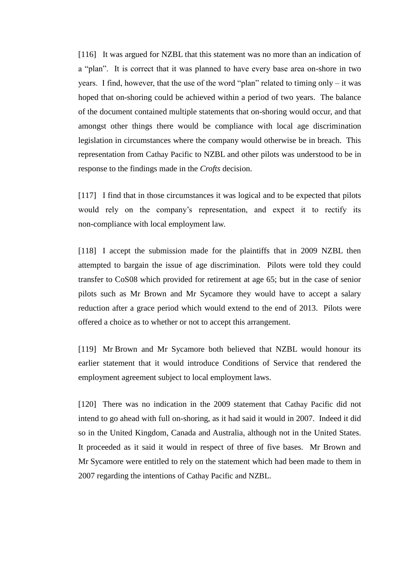[116] It was argued for NZBL that this statement was no more than an indication of a "plan". It is correct that it was planned to have every base area on-shore in two years. I find, however, that the use of the word "plan" related to timing only  $-$  it was hoped that on-shoring could be achieved within a period of two years. The balance of the document contained multiple statements that on-shoring would occur, and that amongst other things there would be compliance with local age discrimination legislation in circumstances where the company would otherwise be in breach. This representation from Cathay Pacific to NZBL and other pilots was understood to be in response to the findings made in the *Crofts* decision.

[117] I find that in those circumstances it was logical and to be expected that pilots would rely on the company's representation, and expect it to rectify its non-compliance with local employment law.

[118] I accept the submission made for the plaintiffs that in 2009 NZBL then attempted to bargain the issue of age discrimination. Pilots were told they could transfer to CoS08 which provided for retirement at age 65; but in the case of senior pilots such as Mr Brown and Mr Sycamore they would have to accept a salary reduction after a grace period which would extend to the end of 2013. Pilots were offered a choice as to whether or not to accept this arrangement.

[119] Mr Brown and Mr Sycamore both believed that NZBL would honour its earlier statement that it would introduce Conditions of Service that rendered the employment agreement subject to local employment laws.

[120] There was no indication in the 2009 statement that Cathay Pacific did not intend to go ahead with full on-shoring, as it had said it would in 2007. Indeed it did so in the United Kingdom, Canada and Australia, although not in the United States. It proceeded as it said it would in respect of three of five bases. Mr Brown and Mr Sycamore were entitled to rely on the statement which had been made to them in 2007 regarding the intentions of Cathay Pacific and NZBL.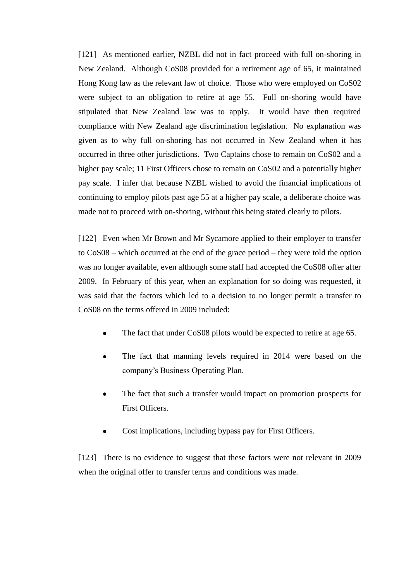[121] As mentioned earlier, NZBL did not in fact proceed with full on-shoring in New Zealand. Although CoS08 provided for a retirement age of 65, it maintained Hong Kong law as the relevant law of choice. Those who were employed on CoS02 were subject to an obligation to retire at age 55. Full on-shoring would have stipulated that New Zealand law was to apply. It would have then required compliance with New Zealand age discrimination legislation. No explanation was given as to why full on-shoring has not occurred in New Zealand when it has occurred in three other jurisdictions. Two Captains chose to remain on CoS02 and a higher pay scale; 11 First Officers chose to remain on CoS02 and a potentially higher pay scale. I infer that because NZBL wished to avoid the financial implications of continuing to employ pilots past age 55 at a higher pay scale, a deliberate choice was made not to proceed with on-shoring, without this being stated clearly to pilots.

[122] Even when Mr Brown and Mr Sycamore applied to their employer to transfer to CoS08 – which occurred at the end of the grace period – they were told the option was no longer available, even although some staff had accepted the CoS08 offer after 2009. In February of this year, when an explanation for so doing was requested, it was said that the factors which led to a decision to no longer permit a transfer to CoS08 on the terms offered in 2009 included:

- The fact that under CoS08 pilots would be expected to retire at age 65.
- The fact that manning levels required in 2014 were based on the company's Business Operating Plan.
- The fact that such a transfer would impact on promotion prospects for First Officers.
- Cost implications, including bypass pay for First Officers.

[123] There is no evidence to suggest that these factors were not relevant in 2009 when the original offer to transfer terms and conditions was made.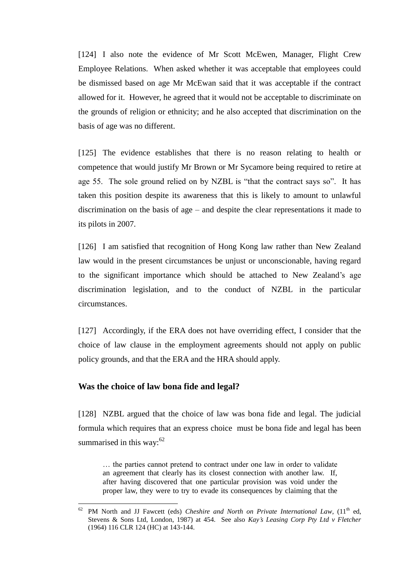[124] I also note the evidence of Mr Scott McEwen, Manager, Flight Crew Employee Relations. When asked whether it was acceptable that employees could be dismissed based on age Mr McEwan said that it was acceptable if the contract allowed for it. However, he agreed that it would not be acceptable to discriminate on the grounds of religion or ethnicity; and he also accepted that discrimination on the basis of age was no different.

[125] The evidence establishes that there is no reason relating to health or competence that would justify Mr Brown or Mr Sycamore being required to retire at age 55. The sole ground relied on by NZBL is "that the contract says so". It has taken this position despite its awareness that this is likely to amount to unlawful discrimination on the basis of age – and despite the clear representations it made to its pilots in 2007.

[126] I am satisfied that recognition of Hong Kong law rather than New Zealand law would in the present circumstances be unjust or unconscionable, having regard to the significant importance which should be attached to New Zealand's age discrimination legislation, and to the conduct of NZBL in the particular circumstances.

[127] Accordingly, if the ERA does not have overriding effect, I consider that the choice of law clause in the employment agreements should not apply on public policy grounds, and that the ERA and the HRA should apply.

#### **Was the choice of law bona fide and legal?**

 $\overline{a}$ 

[128] NZBL argued that the choice of law was bona fide and legal. The judicial formula which requires that an express choice must be bona fide and legal has been summarised in this way: $62$ 

… the parties cannot pretend to contract under one law in order to validate an agreement that clearly has its closest connection with another law. If, after having discovered that one particular provision was void under the proper law, they were to try to evade its consequences by claiming that the

<sup>62</sup> PM North and JJ Fawcett (eds) *Cheshire and North on Private International Law*, (11th ed, Stevens & Sons Ltd, London, 1987) at 454. See also *Kay's Leasing Corp Pty Ltd v Fletcher* (1964) 116 CLR 124 (HC) at 143-144.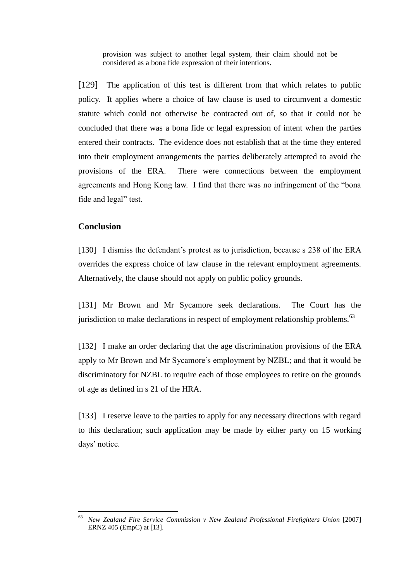provision was subject to another legal system, their claim should not be considered as a bona fide expression of their intentions.

[129] The application of this test is different from that which relates to public policy. It applies where a choice of law clause is used to circumvent a domestic statute which could not otherwise be contracted out of, so that it could not be concluded that there was a bona fide or legal expression of intent when the parties entered their contracts. The evidence does not establish that at the time they entered into their employment arrangements the parties deliberately attempted to avoid the provisions of the ERA. There were connections between the employment agreements and Hong Kong law. I find that there was no infringement of the "bona fide and legal" test.

## **Conclusion**

 $\overline{a}$ 

[130] I dismiss the defendant's protest as to jurisdiction, because s 238 of the ERA overrides the express choice of law clause in the relevant employment agreements. Alternatively, the clause should not apply on public policy grounds.

[131] Mr Brown and Mr Sycamore seek declarations. The Court has the jurisdiction to make declarations in respect of employment relationship problems.<sup>63</sup>

[132] I make an order declaring that the age discrimination provisions of the ERA apply to Mr Brown and Mr Sycamore's employment by NZBL; and that it would be discriminatory for NZBL to require each of those employees to retire on the grounds of age as defined in s 21 of the HRA.

[133] I reserve leave to the parties to apply for any necessary directions with regard to this declaration; such application may be made by either party on 15 working days' notice.

<sup>63</sup> *New Zealand Fire Service Commission v New Zealand Professional Firefighters Union* [2007] ERNZ 405 (EmpC) at [13].